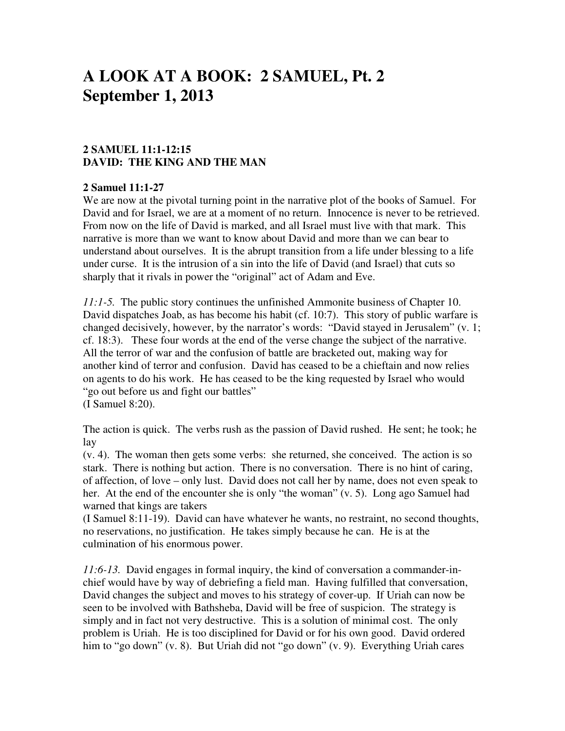# **A LOOK AT A BOOK: 2 SAMUEL, Pt. 2 September 1, 2013**

## **2 SAMUEL 11:1-12:15 DAVID: THE KING AND THE MAN**

#### **2 Samuel 11:1-27**

We are now at the pivotal turning point in the narrative plot of the books of Samuel. For David and for Israel, we are at a moment of no return. Innocence is never to be retrieved. From now on the life of David is marked, and all Israel must live with that mark. This narrative is more than we want to know about David and more than we can bear to understand about ourselves. It is the abrupt transition from a life under blessing to a life under curse. It is the intrusion of a sin into the life of David (and Israel) that cuts so sharply that it rivals in power the "original" act of Adam and Eve.

*11:1-5.* The public story continues the unfinished Ammonite business of Chapter 10. David dispatches Joab, as has become his habit (cf. 10:7). This story of public warfare is changed decisively, however, by the narrator's words: "David stayed in Jerusalem" (v. 1; cf. 18:3). These four words at the end of the verse change the subject of the narrative. All the terror of war and the confusion of battle are bracketed out, making way for another kind of terror and confusion. David has ceased to be a chieftain and now relies on agents to do his work. He has ceased to be the king requested by Israel who would "go out before us and fight our battles"

(I Samuel 8:20).

The action is quick. The verbs rush as the passion of David rushed. He sent; he took; he lay

(v. 4). The woman then gets some verbs: she returned, she conceived. The action is so stark. There is nothing but action. There is no conversation. There is no hint of caring, of affection, of love – only lust. David does not call her by name, does not even speak to her. At the end of the encounter she is only "the woman" (v. 5). Long ago Samuel had warned that kings are takers

(I Samuel 8:11-19). David can have whatever he wants, no restraint, no second thoughts, no reservations, no justification. He takes simply because he can. He is at the culmination of his enormous power.

*11:6-13.* David engages in formal inquiry, the kind of conversation a commander-inchief would have by way of debriefing a field man. Having fulfilled that conversation, David changes the subject and moves to his strategy of cover-up. If Uriah can now be seen to be involved with Bathsheba, David will be free of suspicion. The strategy is simply and in fact not very destructive. This is a solution of minimal cost. The only problem is Uriah. He is too disciplined for David or for his own good. David ordered him to "go down" (v. 8). But Uriah did not "go down" (v. 9). Everything Uriah cares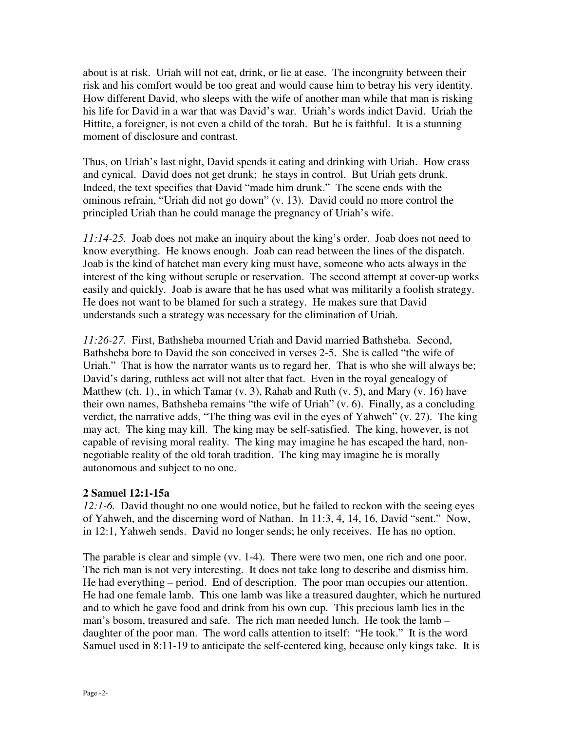about is at risk. Uriah will not eat, drink, or lie at ease. The incongruity between their risk and his comfort would be too great and would cause him to betray his very identity. How different David, who sleeps with the wife of another man while that man is risking his life for David in a war that was David's war. Uriah's words indict David. Uriah the Hittite, a foreigner, is not even a child of the torah. But he is faithful. It is a stunning moment of disclosure and contrast.

Thus, on Uriah's last night, David spends it eating and drinking with Uriah. How crass and cynical. David does not get drunk; he stays in control. But Uriah gets drunk. Indeed, the text specifies that David "made him drunk." The scene ends with the ominous refrain, "Uriah did not go down" (v. 13). David could no more control the principled Uriah than he could manage the pregnancy of Uriah's wife.

*11:14-25.* Joab does not make an inquiry about the king's order. Joab does not need to know everything. He knows enough. Joab can read between the lines of the dispatch. Joab is the kind of hatchet man every king must have, someone who acts always in the interest of the king without scruple or reservation. The second attempt at cover-up works easily and quickly. Joab is aware that he has used what was militarily a foolish strategy. He does not want to be blamed for such a strategy. He makes sure that David understands such a strategy was necessary for the elimination of Uriah.

*11:26-27.* First, Bathsheba mourned Uriah and David married Bathsheba. Second, Bathsheba bore to David the son conceived in verses 2-5. She is called "the wife of Uriah." That is how the narrator wants us to regard her. That is who she will always be; David's daring, ruthless act will not alter that fact. Even in the royal genealogy of Matthew (ch. 1)., in which Tamar  $(v, 3)$ , Rahab and Ruth  $(v, 5)$ , and Mary  $(v, 16)$  have their own names, Bathsheba remains "the wife of Uriah" (v. 6). Finally, as a concluding verdict, the narrative adds, "The thing was evil in the eyes of Yahweh" (v. 27). The king may act. The king may kill. The king may be self-satisfied. The king, however, is not capable of revising moral reality. The king may imagine he has escaped the hard, nonnegotiable reality of the old torah tradition. The king may imagine he is morally autonomous and subject to no one.

## **2 Samuel 12:1-15a**

*12:1-6.* David thought no one would notice, but he failed to reckon with the seeing eyes of Yahweh, and the discerning word of Nathan. In 11:3, 4, 14, 16, David "sent." Now, in 12:1, Yahweh sends. David no longer sends; he only receives. He has no option.

The parable is clear and simple (vv. 1-4). There were two men, one rich and one poor. The rich man is not very interesting. It does not take long to describe and dismiss him. He had everything – period. End of description. The poor man occupies our attention. He had one female lamb. This one lamb was like a treasured daughter, which he nurtured and to which he gave food and drink from his own cup. This precious lamb lies in the man's bosom, treasured and safe. The rich man needed lunch. He took the lamb – daughter of the poor man. The word calls attention to itself: "He took." It is the word Samuel used in 8:11-19 to anticipate the self-centered king, because only kings take. It is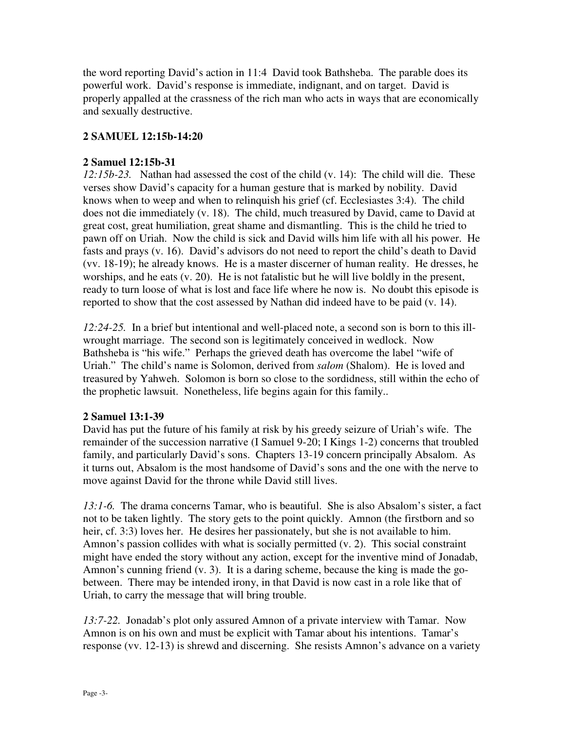the word reporting David's action in 11:4 David took Bathsheba. The parable does its powerful work. David's response is immediate, indignant, and on target. David is properly appalled at the crassness of the rich man who acts in ways that are economically and sexually destructive.

## **2 SAMUEL 12:15b-14:20**

#### **2 Samuel 12:15b-31**

*12:15b-23.* Nathan had assessed the cost of the child (v. 14): The child will die. These verses show David's capacity for a human gesture that is marked by nobility. David knows when to weep and when to relinquish his grief (cf. Ecclesiastes 3:4). The child does not die immediately (v. 18). The child, much treasured by David, came to David at great cost, great humiliation, great shame and dismantling. This is the child he tried to pawn off on Uriah. Now the child is sick and David wills him life with all his power. He fasts and prays (v. 16). David's advisors do not need to report the child's death to David (vv. 18-19); he already knows. He is a master discerner of human reality. He dresses, he worships, and he eats (v. 20). He is not fatalistic but he will live boldly in the present, ready to turn loose of what is lost and face life where he now is. No doubt this episode is reported to show that the cost assessed by Nathan did indeed have to be paid (v. 14).

*12:24-25.* In a brief but intentional and well-placed note, a second son is born to this illwrought marriage. The second son is legitimately conceived in wedlock. Now Bathsheba is "his wife." Perhaps the grieved death has overcome the label "wife of Uriah." The child's name is Solomon, derived from *salom* (Shalom). He is loved and treasured by Yahweh. Solomon is born so close to the sordidness, still within the echo of the prophetic lawsuit. Nonetheless, life begins again for this family..

#### **2 Samuel 13:1-39**

David has put the future of his family at risk by his greedy seizure of Uriah's wife. The remainder of the succession narrative (I Samuel 9-20; I Kings 1-2) concerns that troubled family, and particularly David's sons. Chapters 13-19 concern principally Absalom. As it turns out, Absalom is the most handsome of David's sons and the one with the nerve to move against David for the throne while David still lives.

*13:1-6.* The drama concerns Tamar, who is beautiful. She is also Absalom's sister, a fact not to be taken lightly. The story gets to the point quickly. Amnon (the firstborn and so heir, cf. 3:3) loves her. He desires her passionately, but she is not available to him. Amnon's passion collides with what is socially permitted (v. 2). This social constraint might have ended the story without any action, except for the inventive mind of Jonadab, Amnon's cunning friend (v. 3). It is a daring scheme, because the king is made the gobetween. There may be intended irony, in that David is now cast in a role like that of Uriah, to carry the message that will bring trouble.

*13:7-22.* Jonadab's plot only assured Amnon of a private interview with Tamar. Now Amnon is on his own and must be explicit with Tamar about his intentions. Tamar's response (vv. 12-13) is shrewd and discerning. She resists Amnon's advance on a variety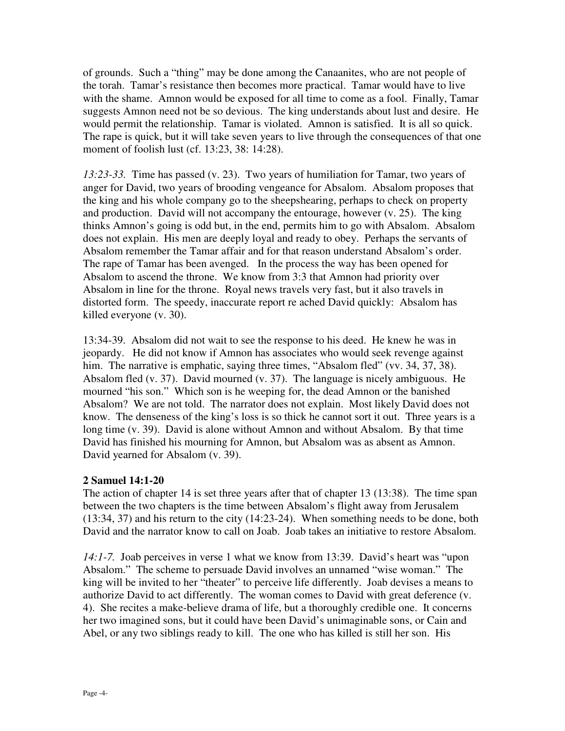of grounds. Such a "thing" may be done among the Canaanites, who are not people of the torah. Tamar's resistance then becomes more practical. Tamar would have to live with the shame. Amnon would be exposed for all time to come as a fool. Finally, Tamar suggests Amnon need not be so devious. The king understands about lust and desire. He would permit the relationship. Tamar is violated. Amnon is satisfied. It is all so quick. The rape is quick, but it will take seven years to live through the consequences of that one moment of foolish lust (cf. 13:23, 38: 14:28).

*13:23-33.* Time has passed (v. 23). Two years of humiliation for Tamar, two years of anger for David, two years of brooding vengeance for Absalom. Absalom proposes that the king and his whole company go to the sheepshearing, perhaps to check on property and production. David will not accompany the entourage, however (v. 25). The king thinks Amnon's going is odd but, in the end, permits him to go with Absalom. Absalom does not explain. His men are deeply loyal and ready to obey. Perhaps the servants of Absalom remember the Tamar affair and for that reason understand Absalom's order. The rape of Tamar has been avenged. In the process the way has been opened for Absalom to ascend the throne. We know from 3:3 that Amnon had priority over Absalom in line for the throne. Royal news travels very fast, but it also travels in distorted form. The speedy, inaccurate report re ached David quickly: Absalom has killed everyone (v. 30).

13:34-39. Absalom did not wait to see the response to his deed. He knew he was in jeopardy. He did not know if Amnon has associates who would seek revenge against him. The narrative is emphatic, saying three times, "Absalom fled" (vv. 34, 37, 38). Absalom fled (v. 37). David mourned (v. 37). The language is nicely ambiguous. He mourned "his son." Which son is he weeping for, the dead Amnon or the banished Absalom? We are not told. The narrator does not explain. Most likely David does not know. The denseness of the king's loss is so thick he cannot sort it out. Three years is a long time (v. 39). David is alone without Amnon and without Absalom. By that time David has finished his mourning for Amnon, but Absalom was as absent as Amnon. David yearned for Absalom (v. 39).

#### **2 Samuel 14:1-20**

The action of chapter 14 is set three years after that of chapter 13 (13:38). The time span between the two chapters is the time between Absalom's flight away from Jerusalem (13:34, 37) and his return to the city (14:23-24). When something needs to be done, both David and the narrator know to call on Joab. Joab takes an initiative to restore Absalom.

*14:1-7.* Joab perceives in verse 1 what we know from 13:39. David's heart was "upon Absalom." The scheme to persuade David involves an unnamed "wise woman." The king will be invited to her "theater" to perceive life differently. Joab devises a means to authorize David to act differently. The woman comes to David with great deference (v. 4). She recites a make-believe drama of life, but a thoroughly credible one. It concerns her two imagined sons, but it could have been David's unimaginable sons, or Cain and Abel, or any two siblings ready to kill. The one who has killed is still her son. His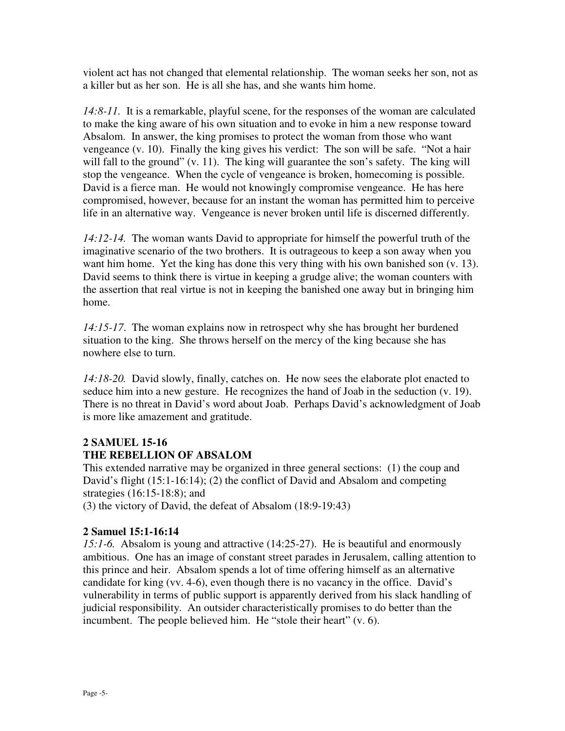violent act has not changed that elemental relationship. The woman seeks her son, not as a killer but as her son. He is all she has, and she wants him home.

*14:8-11.* It is a remarkable, playful scene, for the responses of the woman are calculated to make the king aware of his own situation and to evoke in him a new response toward Absalom. In answer, the king promises to protect the woman from those who want vengeance (v. 10). Finally the king gives his verdict: The son will be safe. "Not a hair will fall to the ground" (v. 11). The king will guarantee the son's safety. The king will stop the vengeance. When the cycle of vengeance is broken, homecoming is possible. David is a fierce man. He would not knowingly compromise vengeance. He has here compromised, however, because for an instant the woman has permitted him to perceive life in an alternative way. Vengeance is never broken until life is discerned differently.

*14:12-14.* The woman wants David to appropriate for himself the powerful truth of the imaginative scenario of the two brothers. It is outrageous to keep a son away when you want him home. Yet the king has done this very thing with his own banished son  $(v. 13)$ . David seems to think there is virtue in keeping a grudge alive; the woman counters with the assertion that real virtue is not in keeping the banished one away but in bringing him home.

*14:15-17*. The woman explains now in retrospect why she has brought her burdened situation to the king. She throws herself on the mercy of the king because she has nowhere else to turn.

*14:18-20.* David slowly, finally, catches on. He now sees the elaborate plot enacted to seduce him into a new gesture. He recognizes the hand of Joab in the seduction (v. 19). There is no threat in David's word about Joab. Perhaps David's acknowledgment of Joab is more like amazement and gratitude.

# **2 SAMUEL 15-16 THE REBELLION OF ABSALOM**

This extended narrative may be organized in three general sections: (1) the coup and David's flight (15:1-16:14); (2) the conflict of David and Absalom and competing strategies (16:15-18:8); and

(3) the victory of David, the defeat of Absalom (18:9-19:43)

## **2 Samuel 15:1-16:14**

*15:1-6.* Absalom is young and attractive (14:25-27). He is beautiful and enormously ambitious. One has an image of constant street parades in Jerusalem, calling attention to this prince and heir. Absalom spends a lot of time offering himself as an alternative candidate for king (vv. 4-6), even though there is no vacancy in the office. David's vulnerability in terms of public support is apparently derived from his slack handling of judicial responsibility. An outsider characteristically promises to do better than the incumbent. The people believed him. He "stole their heart" (v. 6).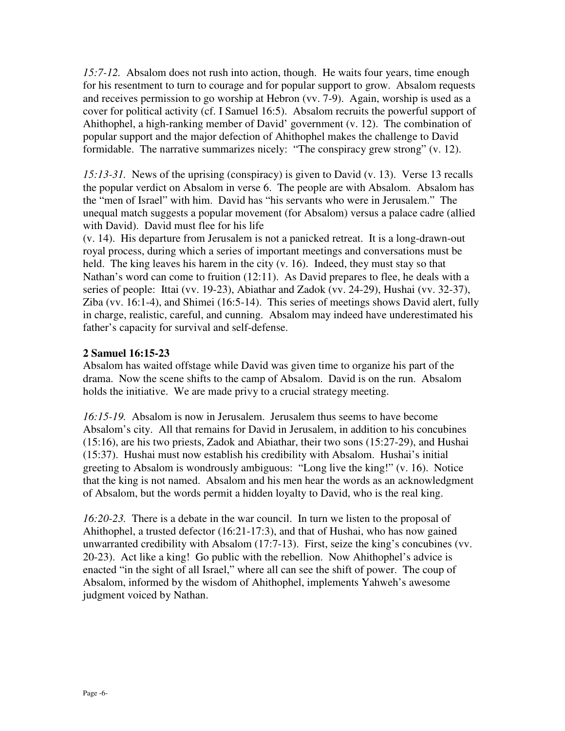*15:7-12.* Absalom does not rush into action, though. He waits four years, time enough for his resentment to turn to courage and for popular support to grow. Absalom requests and receives permission to go worship at Hebron (vv. 7-9). Again, worship is used as a cover for political activity (cf. I Samuel 16:5). Absalom recruits the powerful support of Ahithophel, a high-ranking member of David' government (v. 12). The combination of popular support and the major defection of Ahithophel makes the challenge to David formidable. The narrative summarizes nicely: "The conspiracy grew strong" (v. 12).

*15:13-31.* News of the uprising (conspiracy) is given to David (v. 13). Verse 13 recalls the popular verdict on Absalom in verse 6. The people are with Absalom. Absalom has the "men of Israel" with him. David has "his servants who were in Jerusalem." The unequal match suggests a popular movement (for Absalom) versus a palace cadre (allied with David). David must flee for his life

(v. 14). His departure from Jerusalem is not a panicked retreat. It is a long-drawn-out royal process, during which a series of important meetings and conversations must be held. The king leaves his harem in the city (v. 16). Indeed, they must stay so that Nathan's word can come to fruition (12:11). As David prepares to flee, he deals with a series of people: Ittai (vv. 19-23), Abiathar and Zadok (vv. 24-29), Hushai (vv. 32-37), Ziba (vv. 16:1-4), and Shimei (16:5-14). This series of meetings shows David alert, fully in charge, realistic, careful, and cunning. Absalom may indeed have underestimated his father's capacity for survival and self-defense.

#### **2 Samuel 16:15-23**

Absalom has waited offstage while David was given time to organize his part of the drama. Now the scene shifts to the camp of Absalom. David is on the run. Absalom holds the initiative. We are made privy to a crucial strategy meeting.

*16:15-19.* Absalom is now in Jerusalem. Jerusalem thus seems to have become Absalom's city. All that remains for David in Jerusalem, in addition to his concubines (15:16), are his two priests, Zadok and Abiathar, their two sons (15:27-29), and Hushai (15:37). Hushai must now establish his credibility with Absalom. Hushai's initial greeting to Absalom is wondrously ambiguous: "Long live the king!" (v. 16). Notice that the king is not named. Absalom and his men hear the words as an acknowledgment of Absalom, but the words permit a hidden loyalty to David, who is the real king.

*16:20-23.* There is a debate in the war council. In turn we listen to the proposal of Ahithophel, a trusted defector (16:21-17:3), and that of Hushai, who has now gained unwarranted credibility with Absalom (17:7-13). First, seize the king's concubines (vv. 20-23). Act like a king! Go public with the rebellion. Now Ahithophel's advice is enacted "in the sight of all Israel," where all can see the shift of power. The coup of Absalom, informed by the wisdom of Ahithophel, implements Yahweh's awesome judgment voiced by Nathan.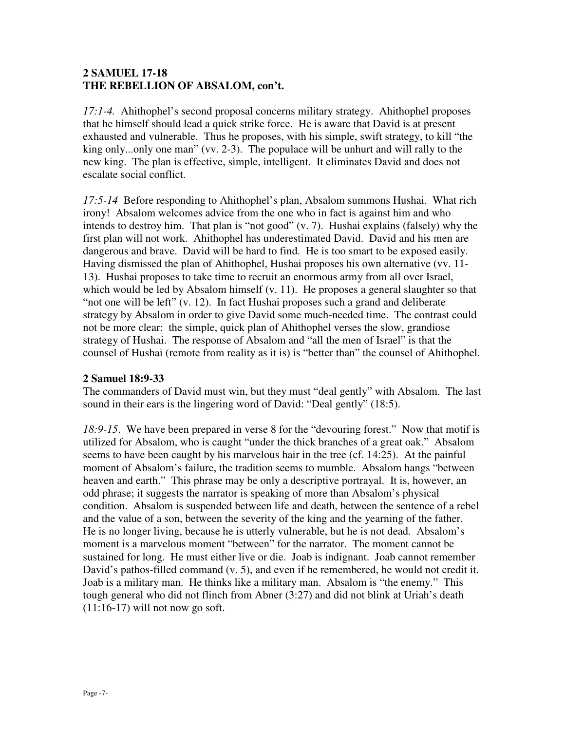#### **2 SAMUEL 17-18 THE REBELLION OF ABSALOM, con't.**

*17:1-4.* Ahithophel's second proposal concerns military strategy. Ahithophel proposes that he himself should lead a quick strike force. He is aware that David is at present exhausted and vulnerable. Thus he proposes, with his simple, swift strategy, to kill "the king only...only one man" (vv. 2-3). The populace will be unhurt and will rally to the new king. The plan is effective, simple, intelligent. It eliminates David and does not escalate social conflict.

*17:5-14* Before responding to Ahithophel's plan, Absalom summons Hushai. What rich irony! Absalom welcomes advice from the one who in fact is against him and who intends to destroy him. That plan is "not good" (v. 7). Hushai explains (falsely) why the first plan will not work. Ahithophel has underestimated David. David and his men are dangerous and brave. David will be hard to find. He is too smart to be exposed easily. Having dismissed the plan of Ahithophel, Hushai proposes his own alternative (vv. 11- 13). Hushai proposes to take time to recruit an enormous army from all over Israel, which would be led by Absalom himself (v. 11). He proposes a general slaughter so that "not one will be left" (v. 12). In fact Hushai proposes such a grand and deliberate strategy by Absalom in order to give David some much-needed time. The contrast could not be more clear: the simple, quick plan of Ahithophel verses the slow, grandiose strategy of Hushai. The response of Absalom and "all the men of Israel" is that the counsel of Hushai (remote from reality as it is) is "better than" the counsel of Ahithophel.

## **2 Samuel 18:9-33**

The commanders of David must win, but they must "deal gently" with Absalom. The last sound in their ears is the lingering word of David: "Deal gently" (18:5).

*18:9-15*. We have been prepared in verse 8 for the "devouring forest." Now that motif is utilized for Absalom, who is caught "under the thick branches of a great oak." Absalom seems to have been caught by his marvelous hair in the tree (cf. 14:25). At the painful moment of Absalom's failure, the tradition seems to mumble. Absalom hangs "between heaven and earth." This phrase may be only a descriptive portrayal. It is, however, an odd phrase; it suggests the narrator is speaking of more than Absalom's physical condition. Absalom is suspended between life and death, between the sentence of a rebel and the value of a son, between the severity of the king and the yearning of the father. He is no longer living, because he is utterly vulnerable, but he is not dead. Absalom's moment is a marvelous moment "between" for the narrator. The moment cannot be sustained for long. He must either live or die. Joab is indignant. Joab cannot remember David's pathos-filled command (v. 5), and even if he remembered, he would not credit it. Joab is a military man. He thinks like a military man. Absalom is "the enemy." This tough general who did not flinch from Abner (3:27) and did not blink at Uriah's death  $(11:16-17)$  will not now go soft.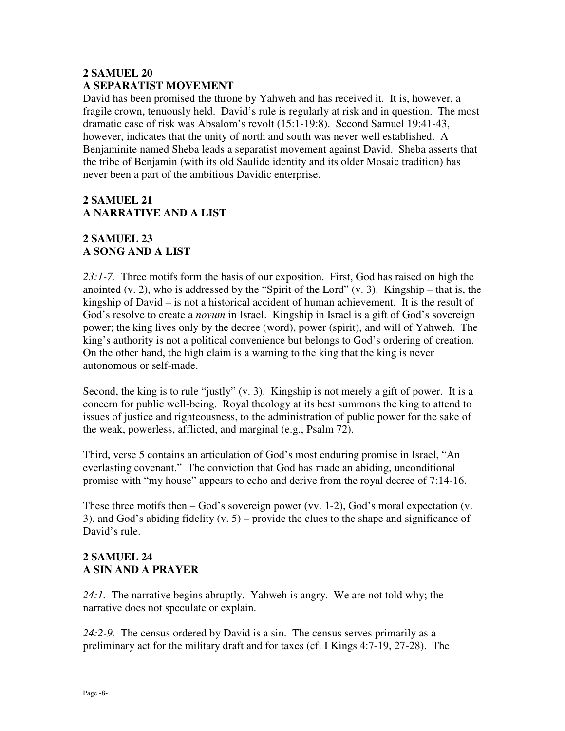#### **2 SAMUEL 20 A SEPARATIST MOVEMENT**

David has been promised the throne by Yahweh and has received it. It is, however, a fragile crown, tenuously held. David's rule is regularly at risk and in question. The most dramatic case of risk was Absalom's revolt (15:1-19:8). Second Samuel 19:41-43, however, indicates that the unity of north and south was never well established. A Benjaminite named Sheba leads a separatist movement against David. Sheba asserts that the tribe of Benjamin (with its old Saulide identity and its older Mosaic tradition) has never been a part of the ambitious Davidic enterprise.

# **2 SAMUEL 21 A NARRATIVE AND A LIST**

# **2 SAMUEL 23 A SONG AND A LIST**

*23:1-7.* Three motifs form the basis of our exposition. First, God has raised on high the anointed (v. 2), who is addressed by the "Spirit of the Lord" (v. 3). Kingship – that is, the kingship of David – is not a historical accident of human achievement. It is the result of God's resolve to create a *novum* in Israel. Kingship in Israel is a gift of God's sovereign power; the king lives only by the decree (word), power (spirit), and will of Yahweh. The king's authority is not a political convenience but belongs to God's ordering of creation. On the other hand, the high claim is a warning to the king that the king is never autonomous or self-made.

Second, the king is to rule "justly" (v. 3). Kingship is not merely a gift of power. It is a concern for public well-being. Royal theology at its best summons the king to attend to issues of justice and righteousness, to the administration of public power for the sake of the weak, powerless, afflicted, and marginal (e.g., Psalm 72).

Third, verse 5 contains an articulation of God's most enduring promise in Israel, "An everlasting covenant." The conviction that God has made an abiding, unconditional promise with "my house" appears to echo and derive from the royal decree of 7:14-16.

These three motifs then – God's sovereign power (vv. 1-2), God's moral expectation (v. 3), and God's abiding fidelity  $(v, 5)$  – provide the clues to the shape and significance of David's rule.

## **2 SAMUEL 24 A SIN AND A PRAYER**

*24:1.* The narrative begins abruptly. Yahweh is angry. We are not told why; the narrative does not speculate or explain.

*24:2-9.* The census ordered by David is a sin. The census serves primarily as a preliminary act for the military draft and for taxes (cf. I Kings 4:7-19, 27-28). The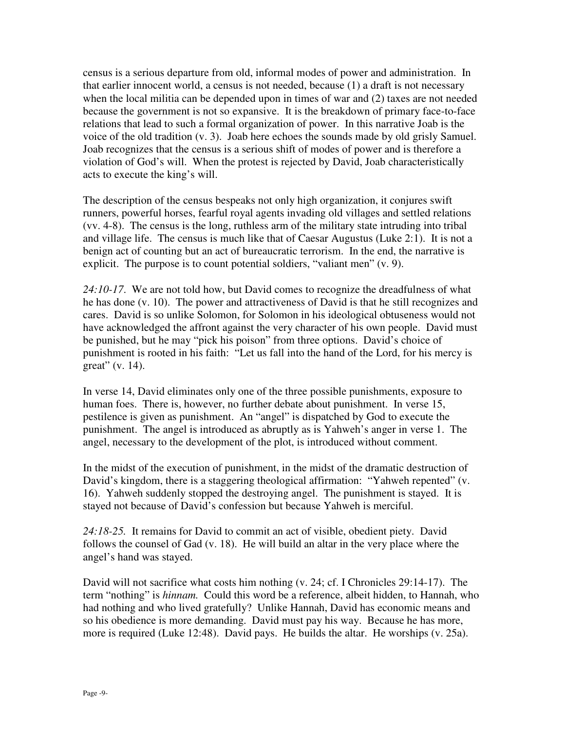census is a serious departure from old, informal modes of power and administration. In that earlier innocent world, a census is not needed, because (1) a draft is not necessary when the local militia can be depended upon in times of war and (2) taxes are not needed because the government is not so expansive. It is the breakdown of primary face-to-face relations that lead to such a formal organization of power. In this narrative Joab is the voice of the old tradition (v. 3). Joab here echoes the sounds made by old grisly Samuel. Joab recognizes that the census is a serious shift of modes of power and is therefore a violation of God's will. When the protest is rejected by David, Joab characteristically acts to execute the king's will.

The description of the census bespeaks not only high organization, it conjures swift runners, powerful horses, fearful royal agents invading old villages and settled relations (vv. 4-8). The census is the long, ruthless arm of the military state intruding into tribal and village life. The census is much like that of Caesar Augustus (Luke 2:1). It is not a benign act of counting but an act of bureaucratic terrorism. In the end, the narrative is explicit. The purpose is to count potential soldiers, "valiant men" (v. 9).

*24:10-17*. We are not told how, but David comes to recognize the dreadfulness of what he has done (v. 10). The power and attractiveness of David is that he still recognizes and cares. David is so unlike Solomon, for Solomon in his ideological obtuseness would not have acknowledged the affront against the very character of his own people. David must be punished, but he may "pick his poison" from three options. David's choice of punishment is rooted in his faith: "Let us fall into the hand of the Lord, for his mercy is great" (v. 14).

In verse 14, David eliminates only one of the three possible punishments, exposure to human foes. There is, however, no further debate about punishment. In verse 15, pestilence is given as punishment. An "angel" is dispatched by God to execute the punishment. The angel is introduced as abruptly as is Yahweh's anger in verse 1. The angel, necessary to the development of the plot, is introduced without comment.

In the midst of the execution of punishment, in the midst of the dramatic destruction of David's kingdom, there is a staggering theological affirmation: "Yahweh repented" (v. 16). Yahweh suddenly stopped the destroying angel. The punishment is stayed. It is stayed not because of David's confession but because Yahweh is merciful.

*24:18-25.* It remains for David to commit an act of visible, obedient piety. David follows the counsel of Gad (v. 18). He will build an altar in the very place where the angel's hand was stayed.

David will not sacrifice what costs him nothing (v. 24; cf. I Chronicles 29:14-17). The term "nothing" is *hinnam.* Could this word be a reference, albeit hidden, to Hannah, who had nothing and who lived gratefully? Unlike Hannah, David has economic means and so his obedience is more demanding. David must pay his way. Because he has more, more is required (Luke 12:48). David pays. He builds the altar. He worships (v. 25a).